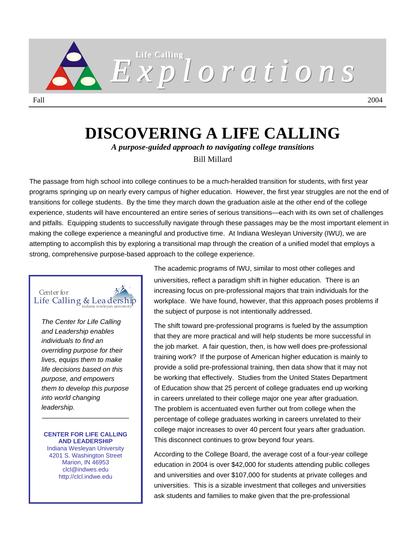

# **DISCOVERING A LIFE CALLING**

*A purpose-guided approach to navigating college transitions* 

Bill Millard

The passage from high school into college continues to be a much-heralded transition for students, with first year programs springing up on nearly every campus of higher education. However, the first year struggles are not the end of transitions for college students. By the time they march down the graduation aisle at the other end of the college experience, students will have encountered an entire series of serious transitions—each with its own set of challenges and pitfalls. Equipping students to successfully navigate through these passages may be the most important element in making the college experience a meaningful and productive time. At Indiana Wesleyan University (IWU), we are attempting to accomplish this by exploring a transitional map through the creation of a unified model that employs a strong, comprehensive purpose-based approach to the college experience.

# Center for Life Calling  $&$  Leadership

*The Center for Life Calling and Leadership enables individuals to find an overriding purpose for their lives, equips them to make life decisions based on this purpose, and empowers them to develop this purpose into world changing leadership.* 

#### **CENTER FOR LIFE CALLING AND LEADERSHIP**

\_\_\_\_\_\_\_\_\_\_\_\_\_\_\_\_\_\_\_\_\_\_\_

Indiana Wesleyan University 4201 S. Washington Street Marion, IN 46953 clcl@indwes.edu http://clcl.indwe.edu

The academic programs of IWU, similar to most other colleges and universities, reflect a paradigm shift in higher education. There is an increasing focus on pre-professional majors that train individuals for the workplace. We have found, however, that this approach poses problems if the subject of purpose is not intentionally addressed.

The shift toward pre-professional programs is fueled by the assumption that they are more practical and will help students be more successful in the job market. A fair question, then, is how well does pre-professional training work? If the purpose of American higher education is mainly to provide a solid pre-professional training, then data show that it may not be working that effectively. Studies from the United States Department of Education show that 25 percent of college graduates end up working in careers unrelated to their college major one year after graduation. The problem is accentuated even further out from college when the percentage of college graduates working in careers unrelated to their college major increases to over 40 percent four years after graduation. This disconnect continues to grow beyond four years.

According to the College Board, the average cost of a four-year college education in 2004 is over \$42,000 for students attending public colleges and universities and over \$107,000 for students at private colleges and universities. This is a sizable investment that colleges and universities ask students and families to make given that the pre-professional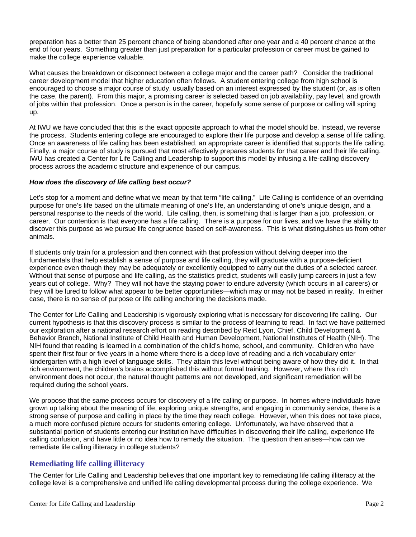preparation has a better than 25 percent chance of being abandoned after one year and a 40 percent chance at the end of four years. Something greater than just preparation for a particular profession or career must be gained to make the college experience valuable.

What causes the breakdown or disconnect between a college major and the career path? Consider the traditional career development model that higher education often follows. A student entering college from high school is encouraged to choose a major course of study, usually based on an interest expressed by the student (or, as is often the case, the parent). From this major, a promising career is selected based on job availability, pay level, and growth of jobs within that profession. Once a person is in the career, hopefully some sense of purpose or calling will spring up.

At IWU we have concluded that this is the exact opposite approach to what the model should be. Instead, we reverse the process. Students entering college are encouraged to explore their life purpose and develop a sense of life calling. Once an awareness of life calling has been established, an appropriate career is identified that supports the life calling. Finally, a major course of study is pursued that most effectively prepares students for that career and their life calling. IWU has created a Center for Life Calling and Leadership to support this model by infusing a life-calling discovery process across the academic structure and experience of our campus.

### *How does the discovery of life calling best occur?*

Let's stop for a moment and define what we mean by that term "life calling." Life Calling is confidence of an overriding purpose for one's life based on the ultimate meaning of one's life, an understanding of one's unique design, and a personal response to the needs of the world. Life calling, then, is something that is larger than a job, profession, or career. Our contention is that everyone has a life calling. There is a purpose for our lives, and we have the ability to discover this purpose as we pursue life congruence based on self-awareness. This is what distinguishes us from other animals.

If students only train for a profession and then connect with that profession without delving deeper into the fundamentals that help establish a sense of purpose and life calling, they will graduate with a purpose-deficient experience even though they may be adequately or excellently equipped to carry out the duties of a selected career. Without that sense of purpose and life calling, as the statistics predict, students will easily jump careers in just a few years out of college. Why? They will not have the staying power to endure adversity (which occurs in all careers) or they will be lured to follow what appear to be better opportunities—which may or may not be based in reality. In either case, there is no sense of purpose or life calling anchoring the decisions made.

The Center for Life Calling and Leadership is vigorously exploring what is necessary for discovering life calling. Our current hypothesis is that this discovery process is similar to the process of learning to read. In fact we have patterned our exploration after a national research effort on reading described by Reid Lyon, Chief, Child Development & Behavior Branch, National Institute of Child Health and Human Development, National Institutes of Health (NIH). The NIH found that reading is learned in a combination of the child's home, school, and community. Children who have spent their first four or five years in a home where there is a deep love of reading and a rich vocabulary enter kindergarten with a high level of language skills. They attain this level without being aware of how they did it. In that rich environment, the children's brains accomplished this without formal training. However, where this rich environment does not occur, the natural thought patterns are not developed, and significant remediation will be required during the school years.

We propose that the same process occurs for discovery of a life calling or purpose. In homes where individuals have grown up talking about the meaning of life, exploring unique strengths, and engaging in community service, there is a strong sense of purpose and calling in place by the time they reach college. However, when this does not take place, a much more confused picture occurs for students entering college. Unfortunately, we have observed that a substantial portion of students entering our institution have difficulties in discovering their life calling, experience life calling confusion, and have little or no idea how to remedy the situation. The question then arises—how can we remediate life calling illiteracy in college students?

### **Remediating life calling illiteracy**

The Center for Life Calling and Leadership believes that one important key to remediating life calling illiteracy at the college level is a comprehensive and unified life calling developmental process during the college experience. We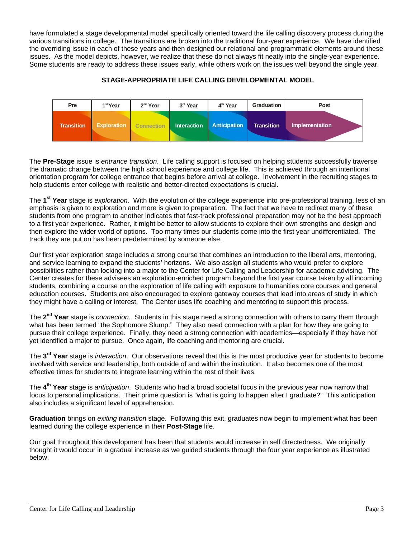have formulated a stage developmental model specifically oriented toward the life calling discovery process during the various transitions in college. The transitions are broken into the traditional four-year experience. We have identified the overriding issue in each of these years and then designed our relational and programmatic elements around these issues. As the model depicts, however, we realize that these do not always fit neatly into the single-year experience. Some students are ready to address these issues early, while others work on the issues well beyond the single year.

### **STAGE-APPROPRIATE LIFE CALLING DEVELOPMENTAL MODEL**

| Pre               | 1 <sup>st</sup> Year | $2nd$ Year        | 3rd Year           | 4 <sup>th</sup> Year | Graduation        | Post           |
|-------------------|----------------------|-------------------|--------------------|----------------------|-------------------|----------------|
| <b>Transition</b> | <b>Exploration</b>   | <b>Connection</b> | <b>Interaction</b> | <b>Anticipation</b>  | <b>Transition</b> | Implementation |

The **Pre-Stage** issue is *entrance transition*. Life calling support is focused on helping students successfully traverse the dramatic change between the high school experience and college life. This is achieved through an intentional orientation program for college entrance that begins before arrival at college. Involvement in the recruiting stages to help students enter college with realistic and better-directed expectations is crucial.

The **1st Year** stage is *exploration*. With the evolution of the college experience into pre-professional training, less of an emphasis is given to exploration and more is given to preparation. The fact that we have to redirect many of these students from one program to another indicates that fast-track professional preparation may not be the best approach to a first year experience. Rather, it might be better to allow students to explore their own strengths and design and then explore the wider world of options. Too many times our students come into the first year undifferentiated. The track they are put on has been predetermined by someone else.

Our first year exploration stage includes a strong course that combines an introduction to the liberal arts, mentoring, and service learning to expand the students' horizons. We also assign all students who would prefer to explore possibilities rather than locking into a major to the Center for Life Calling and Leadership for academic advising. The Center creates for these advisees an exploration-enriched program beyond the first year course taken by all incoming students, combining a course on the exploration of life calling with exposure to humanities core courses and general education courses. Students are also encouraged to explore gateway courses that lead into areas of study in which they might have a calling or interest. The Center uses life coaching and mentoring to support this process.

The **2nd Year** stage is *connection*. Students in this stage need a strong connection with others to carry them through what has been termed "the Sophomore Slump." They also need connection with a plan for how they are going to pursue their college experience. Finally, they need a strong connection with academics—especially if they have not yet identified a major to pursue. Once again, life coaching and mentoring are crucial.

The **3rd Year** stage is *interaction*. Our observations reveal that this is the most productive year for students to become involved with service and leadership, both outside of and within the institution. It also becomes one of the most effective times for students to integrate learning within the rest of their lives.

The **4th Year** stage is *anticipation*. Students who had a broad societal focus in the previous year now narrow that focus to personal implications. Their prime question is "what is going to happen after I graduate?" This anticipation also includes a significant level of apprehension.

**Graduation** brings on *exiting transition* stage. Following this exit, graduates now begin to implement what has been learned during the college experience in their **Post-Stage** life.

Our goal throughout this development has been that students would increase in self directedness. We originally thought it would occur in a gradual increase as we guided students through the four year experience as illustrated below.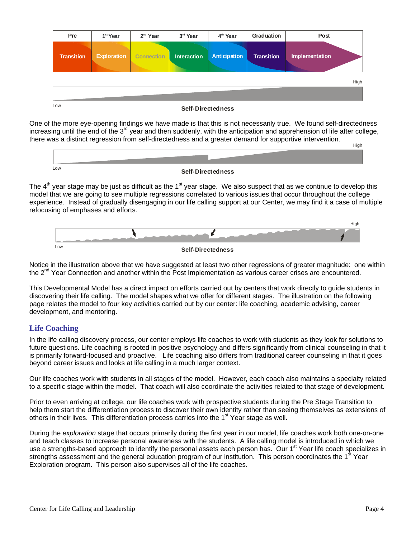| Pre               | 1 <sup>st</sup> Year | 2 <sup>nd</sup> Year | 3rd Year           | 4 <sup>th</sup> Year     | Graduation        | Post           |
|-------------------|----------------------|----------------------|--------------------|--------------------------|-------------------|----------------|
| <b>Transition</b> | <b>Exploration</b>   | <b>Connection</b>    | <b>Interaction</b> | Anticipation             | <b>Transition</b> | Implementation |
|                   |                      |                      |                    |                          |                   | High           |
|                   |                      |                      |                    |                          |                   |                |
| Low               |                      |                      |                    | <b>Self-Directedness</b> |                   |                |

One of the more eye-opening findings we have made is that this is not necessarily true. We found self-directedness increasing until the end of the  $3^{rd}$  year and then suddenly, with the anticipation and apprehension of life after college, there was a distinct regression from self-directedness and a greater demand for supportive intervention.



### **Self-Directedness**

The  $4<sup>th</sup>$  year stage may be just as difficult as the  $1<sup>st</sup>$  year stage. We also suspect that as we continue to develop this model that we are going to see multiple regressions correlated to various issues that occur throughout the college experience. Instead of gradually disengaging in our life calling support at our Center, we may find it a case of multiple refocusing of emphases and efforts.





Notice in the illustration above that we have suggested at least two other regressions of greater magnitude: one within the 2<sup>nd</sup> Year Connection and another within the Post Implementation as various career crises are encountered.

This Developmental Model has a direct impact on efforts carried out by centers that work directly to guide students in discovering their life calling. The model shapes what we offer for different stages. The illustration on the following page relates the model to four key activities carried out by our center: life coaching, academic advising, career development, and mentoring.

# **Life Coaching**

In the life calling discovery process, our center employs life coaches to work with students as they look for solutions to future questions. Life coaching is rooted in positive psychology and differs significantly from clinical counseling in that it is primarily forward-focused and proactive. Life coaching also differs from traditional career counseling in that it goes beyond career issues and looks at life calling in a much larger context.

Our life coaches work with students in all stages of the model. However, each coach also maintains a specialty related to a specific stage within the model. That coach will also coordinate the activities related to that stage of development.

Prior to even arriving at college, our life coaches work with prospective students during the Pre Stage Transition to help them start the differentiation process to discover their own identity rather than seeing themselves as extensions of others in their lives. This differentiation process carries into the  $1<sup>st</sup>$  Year stage as well.

During the *exploration* stage that occurs primarily during the first year in our model, life coaches work both one-on-one and teach classes to increase personal awareness with the students. A life calling model is introduced in which we use a strengths-based approach to identify the personal assets each person has. Our 1<sup>st</sup> Year life coach specializes in strengths assessment and the general education program of our institution. This person coordinates the 1<sup>st</sup> Year Exploration program. This person also supervises all of the life coaches.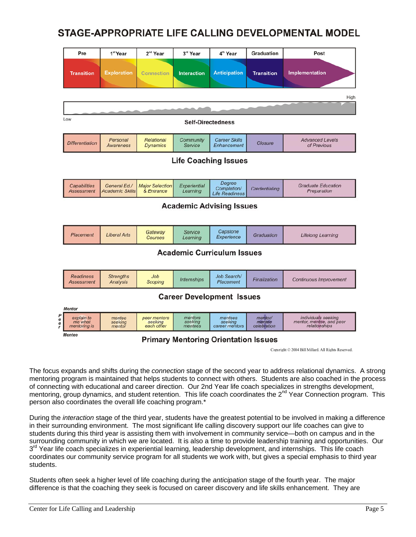# STAGE-APPROPRIATE LIFE CALLING DEVELOPMENTAL MODEL

|             | Pre                                      | 1 <sup>st</sup> Year                   | 2 <sup>nd</sup> Year                  | 3rd Year                      | 4 <sup>th</sup> Year                           | <b>Graduation</b>                | Post                                                             |  |  |
|-------------|------------------------------------------|----------------------------------------|---------------------------------------|-------------------------------|------------------------------------------------|----------------------------------|------------------------------------------------------------------|--|--|
|             | <b>Transition</b>                        | <b>Exploration</b>                     | <b>Connection</b>                     | <b>Interaction</b>            | <b>Anticipation</b>                            | <b>Transition</b>                | Implementation                                                   |  |  |
|             |                                          |                                        |                                       |                               |                                                |                                  | High                                                             |  |  |
|             |                                          |                                        |                                       |                               |                                                |                                  |                                                                  |  |  |
|             | Low<br><b>Self-Directedness</b>          |                                        |                                       |                               |                                                |                                  |                                                                  |  |  |
|             | <b>Differentiation</b>                   | Personal<br><b>Awareness</b>           | <b>Relational</b><br><b>Dynamics</b>  | Community<br>Service          | <b>Career Skills</b><br><b>Enhancement</b>     | <b>Closure</b>                   | <b>Advanced Levels</b><br>of Previous                            |  |  |
|             | <b>Life Coaching Issues</b>              |                                        |                                       |                               |                                                |                                  |                                                                  |  |  |
|             | <b>Capabilities</b><br><b>Assessment</b> | General Ed./<br><b>Academic Skills</b> | <b>Major Selection</b><br>& Entrance  | Experiential<br>Learning      | Degree<br>Completion/<br><b>Life Readiness</b> | Credentialing                    | <b>Graduate Education</b><br>Preparation                         |  |  |
|             | <b>Academic Advising Issues</b>          |                                        |                                       |                               |                                                |                                  |                                                                  |  |  |
|             | Placement                                | <b>Liberal Arts</b>                    | Gateway<br><b>Courses</b>             | Service<br>Learning           | Capstone<br>Experience                         | Graduation                       | <b>Lifelong Learning</b>                                         |  |  |
|             | <b>Academic Curriculum Issues</b>        |                                        |                                       |                               |                                                |                                  |                                                                  |  |  |
|             | <b>Readiness</b><br><b>Assessment</b>    | <b>Strengths</b><br>Analysis           | Job<br><b>Scoping</b>                 | <b>Internships</b>            | Job Search/<br>Placement                       | Finalization                     | <b>Continuous Improvement</b>                                    |  |  |
|             | <b>Career Development Issues</b>         |                                        |                                       |                               |                                                |                                  |                                                                  |  |  |
|             | <b>Mentor</b>                            |                                        |                                       |                               |                                                |                                  |                                                                  |  |  |
| P<br>e<br>e | explain to<br>me what<br>mentoring is    | mentee<br>seeking<br>mentor            | peer mentors<br>seeking<br>each other | mentors<br>seeking<br>mentees | mentees<br>seeking<br>career mentors           | mentor/<br>mentee<br>celebration | individuals seeking<br>mentor, mentee, and peer<br>relationships |  |  |
|             | <b>Mentee</b>                            |                                        |                                       |                               | <b>Drimary Montoring Orientation Iccuse</b>    |                                  |                                                                  |  |  |

### **Primary mentoring Orientation issues**

Copyright © 2004 Bill Millard, All Rights Reserved.

The focus expands and shifts during the *connection* stage of the second year to address relational dynamics. A strong mentoring program is maintained that helps students to connect with others. Students are also coached in the process of connecting with educational and career direction. Our 2nd Year life coach specializes in strengths development, mentoring, group dynamics, and student retention. This life coach coordinates the 2<sup>nd</sup> Year Connection program. This person also coordinates the overall life coaching program.\*

During the *interaction* stage of the third year, students have the greatest potential to be involved in making a difference in their surrounding environment. The most significant life calling discovery support our life coaches can give to students during this third year is assisting them with involvement in community service—both on campus and in the surrounding community in which we are located. It is also a time to provide leadership training and opportunities. Our 3<sup>rd</sup> Year life coach specializes in experiential learning, leadership development, and internships. This life coach coordinates our community service program for all students we work with, but gives a special emphasis to third year students.

Students often seek a higher level of life coaching during the *anticipation* stage of the fourth year. The major difference is that the coaching they seek is focused on career discovery and life skills enhancement. They are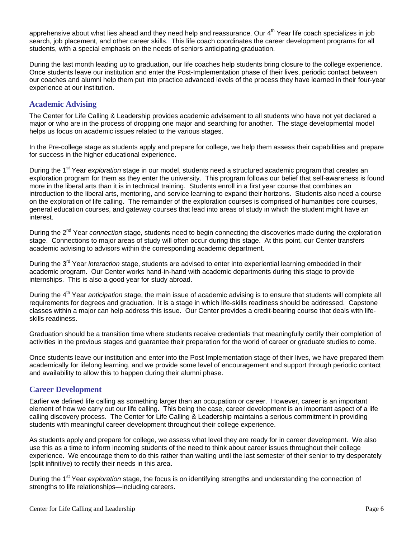apprehensive about what lies ahead and they need help and reassurance. Our  $4<sup>th</sup>$  Year life coach specializes in job search, job placement, and other career skills. This life coach coordinates the career development programs for all students, with a special emphasis on the needs of seniors anticipating graduation.

During the last month leading up to graduation, our life coaches help students bring closure to the college experience. Once students leave our institution and enter the Post-Implementation phase of their lives, periodic contact between our coaches and alumni help them put into practice advanced levels of the process they have learned in their four-year experience at our institution.

# **Academic Advising**

The Center for Life Calling & Leadership provides academic advisement to all students who have not yet declared a major or who are in the process of dropping one major and searching for another. The stage developmental model helps us focus on academic issues related to the various stages.

In the Pre-college stage as students apply and prepare for college, we help them assess their capabilities and prepare for success in the higher educational experience.

During the 1<sup>st</sup> Year *exploration* stage in our model, students need a structured academic program that creates an exploration program for them as they enter the university. This program follows our belief that self-awareness is found more in the liberal arts than it is in technical training. Students enroll in a first year course that combines an introduction to the liberal arts, mentoring, and service learning to expand their horizons. Students also need a course on the exploration of life calling. The remainder of the exploration courses is comprised of humanities core courses, general education courses, and gateway courses that lead into areas of study in which the student might have an interest.

During the 2<sup>nd</sup> Year *connection* stage, students need to begin connecting the discoveries made during the exploration stage. Connections to major areas of study will often occur during this stage. At this point, our Center transfers academic advising to advisors within the corresponding academic department.

During the 3rd Year *interaction* stage, students are advised to enter into experiential learning embedded in their academic program. Our Center works hand-in-hand with academic departments during this stage to provide internships. This is also a good year for study abroad.

During the 4<sup>th</sup> Year *anticipation* stage, the main issue of academic advising is to ensure that students will complete all requirements for degrees and graduation. It is a stage in which life-skills readiness should be addressed. Capstone classes within a major can help address this issue. Our Center provides a credit-bearing course that deals with lifeskills readiness.

Graduation should be a transition time where students receive credentials that meaningfully certify their completion of activities in the previous stages and guarantee their preparation for the world of career or graduate studies to come.

Once students leave our institution and enter into the Post Implementation stage of their lives, we have prepared them academically for lifelong learning, and we provide some level of encouragement and support through periodic contact and availability to allow this to happen during their alumni phase.

### **Career Development**

Earlier we defined life calling as something larger than an occupation or career. However, career is an important element of how we carry out our life calling. This being the case, career development is an important aspect of a life calling discovery process. The Center for Life Calling & Leadership maintains a serious commitment in providing students with meaningful career development throughout their college experience.

As students apply and prepare for college, we assess what level they are ready for in career development. We also use this as a time to inform incoming students of the need to think about career issues throughout their college experience. We encourage them to do this rather than waiting until the last semester of their senior to try desperately (split infinitive) to rectify their needs in this area.

During the 1<sup>st</sup> Year *exploration* stage, the focus is on identifying strengths and understanding the connection of strengths to life relationships—including careers.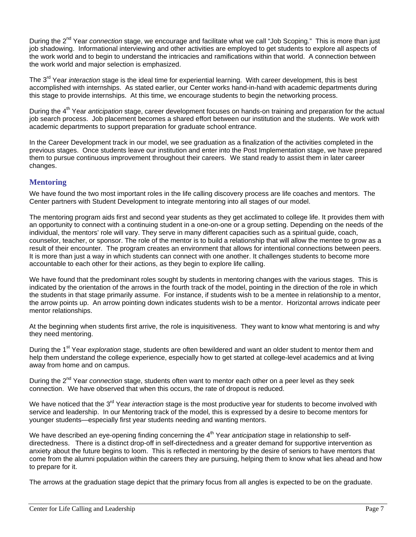During the 2<sup>nd</sup> Year *connection* stage, we encourage and facilitate what we call "Job Scoping." This is more than just job shadowing. Informational interviewing and other activities are employed to get students to explore all aspects of the work world and to begin to understand the intricacies and ramifications within that world. A connection between the work world and major selection is emphasized.

The 3<sup>rd</sup> Year *interaction* stage is the ideal time for experiential learning. With career development, this is best accomplished with internships. As stated earlier, our Center works hand-in-hand with academic departments during this stage to provide internships. At this time, we encourage students to begin the networking process.

During the 4<sup>th</sup> Year *anticipation* stage, career development focuses on hands-on training and preparation for the actual job search process. Job placement becomes a shared effort between our institution and the students. We work with academic departments to support preparation for graduate school entrance.

In the Career Development track in our model, we see graduation as a finalization of the activities completed in the previous stages. Once students leave our institution and enter into the Post Implementation stage, we have prepared them to pursue continuous improvement throughout their careers. We stand ready to assist them in later career changes.

### **Mentoring**

We have found the two most important roles in the life calling discovery process are life coaches and mentors. The Center partners with Student Development to integrate mentoring into all stages of our model.

The mentoring program aids first and second year students as they get acclimated to college life. It provides them with an opportunity to connect with a continuing student in a one-on-one or a group setting. Depending on the needs of the individual, the mentors' role will vary. They serve in many different capacities such as a spiritual guide, coach, counselor, teacher, or sponsor. The role of the mentor is to build a relationship that will allow the mentee to grow as a result of their encounter. The program creates an environment that allows for intentional connections between peers. It is more than just a way in which students can connect with one another. It challenges students to become more accountable to each other for their actions, as they begin to explore life calling.

We have found that the predominant roles sought by students in mentoring changes with the various stages. This is indicated by the orientation of the arrows in the fourth track of the model, pointing in the direction of the role in which the students in that stage primarily assume. For instance, if students wish to be a mentee in relationship to a mentor, the arrow points up. An arrow pointing down indicates students wish to be a mentor. Horizontal arrows indicate peer mentor relationships.

At the beginning when students first arrive, the role is inquisitiveness. They want to know what mentoring is and why they need mentoring.

During the 1<sup>st</sup> Year *exploration* stage, students are often bewildered and want an older student to mentor them and help them understand the college experience, especially how to get started at college-level academics and at living away from home and on campus.

During the 2<sup>nd</sup> Year *connection* stage, students often want to mentor each other on a peer level as they seek connection. We have observed that when this occurs, the rate of dropout is reduced.

We have noticed that the 3<sup>rd</sup> Year *interaction* stage is the most productive year for students to become involved with service and leadership. In our Mentoring track of the model, this is expressed by a desire to become mentors for younger students—especially first year students needing and wanting mentors.

We have described an eye-opening finding concerning the 4<sup>th</sup> Year *anticipation* stage in relationship to selfdirectedness. There is a distinct drop-off in self-directedness and a greater demand for supportive intervention as anxiety about the future begins to loom. This is reflected in mentoring by the desire of seniors to have mentors that come from the alumni population within the careers they are pursuing, helping them to know what lies ahead and how to prepare for it.

The arrows at the graduation stage depict that the primary focus from all angles is expected to be on the graduate.